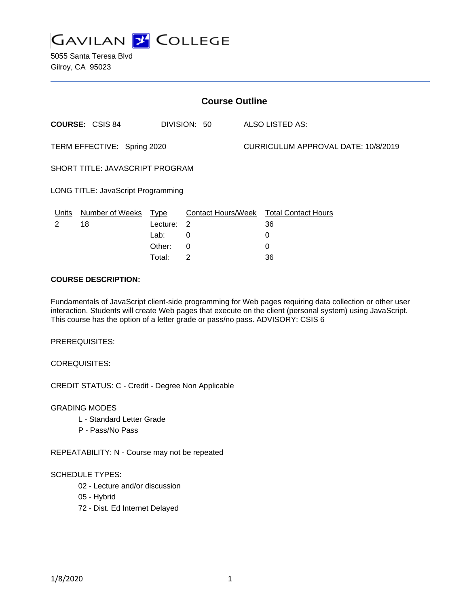

| <b>Course Outline</b>              |                        |          |              |                           |                                     |                            |  |
|------------------------------------|------------------------|----------|--------------|---------------------------|-------------------------------------|----------------------------|--|
|                                    | <b>COURSE: CSIS 84</b> |          | DIVISION: 50 |                           |                                     | ALSO LISTED AS:            |  |
| TERM EFFECTIVE: Spring 2020        |                        |          |              |                           | CURRICULUM APPROVAL DATE: 10/8/2019 |                            |  |
| SHORT TITLE: JAVASCRIPT PROGRAM    |                        |          |              |                           |                                     |                            |  |
| LONG TITLE: JavaScript Programming |                        |          |              |                           |                                     |                            |  |
| Units                              | Number of Weeks        | Type     |              | <b>Contact Hours/Week</b> |                                     | <b>Total Contact Hours</b> |  |
| 2                                  | 18                     | Lecture: | -2           |                           |                                     | 36                         |  |
|                                    |                        | Lab:     | 0            |                           |                                     | 0                          |  |
|                                    |                        | Other:   | 0            |                           |                                     | 0                          |  |

Total: 2 36

### **COURSE DESCRIPTION:**

Fundamentals of JavaScript client-side programming for Web pages requiring data collection or other user interaction. Students will create Web pages that execute on the client (personal system) using JavaScript. This course has the option of a letter grade or pass/no pass. ADVISORY: CSIS 6

PREREQUISITES:

COREQUISITES:

CREDIT STATUS: C - Credit - Degree Non Applicable

GRADING MODES

- L Standard Letter Grade
- P Pass/No Pass

REPEATABILITY: N - Course may not be repeated

#### SCHEDULE TYPES:

- 02 Lecture and/or discussion
- 05 Hybrid
- 72 Dist. Ed Internet Delayed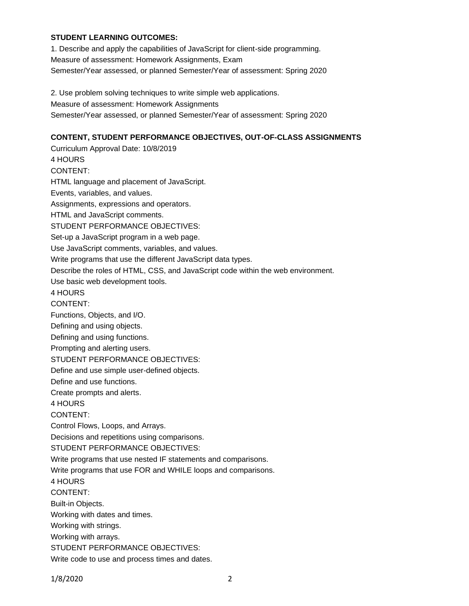### **STUDENT LEARNING OUTCOMES:**

1. Describe and apply the capabilities of JavaScript for client-side programming. Measure of assessment: Homework Assignments, Exam Semester/Year assessed, or planned Semester/Year of assessment: Spring 2020

2. Use problem solving techniques to write simple web applications.

Measure of assessment: Homework Assignments

Semester/Year assessed, or planned Semester/Year of assessment: Spring 2020

## **CONTENT, STUDENT PERFORMANCE OBJECTIVES, OUT-OF-CLASS ASSIGNMENTS**

Curriculum Approval Date: 10/8/2019 4 HOURS CONTENT: HTML language and placement of JavaScript. Events, variables, and values. Assignments, expressions and operators. HTML and JavaScript comments. STUDENT PERFORMANCE OBJECTIVES: Set-up a JavaScript program in a web page. Use JavaScript comments, variables, and values. Write programs that use the different JavaScript data types. Describe the roles of HTML, CSS, and JavaScript code within the web environment. Use basic web development tools. 4 HOURS CONTENT: Functions, Objects, and I/O. Defining and using objects. Defining and using functions. Prompting and alerting users. STUDENT PERFORMANCE OBJECTIVES: Define and use simple user-defined objects. Define and use functions. Create prompts and alerts. 4 HOURS CONTENT: Control Flows, Loops, and Arrays. Decisions and repetitions using comparisons. STUDENT PERFORMANCE OBJECTIVES: Write programs that use nested IF statements and comparisons. Write programs that use FOR and WHILE loops and comparisons. 4 HOURS CONTENT: Built-in Objects. Working with dates and times. Working with strings. Working with arrays. STUDENT PERFORMANCE OBJECTIVES: Write code to use and process times and dates.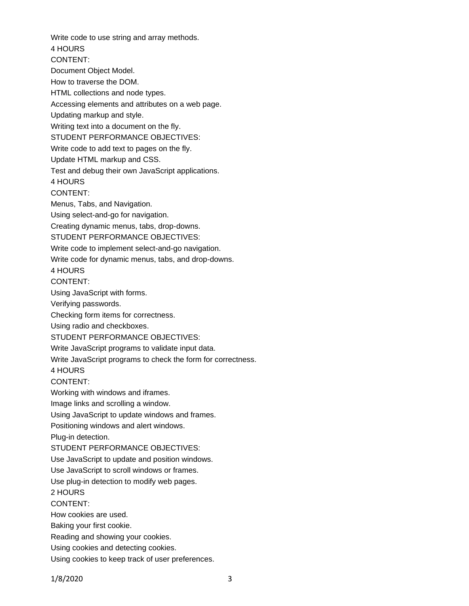Write code to use string and array methods. 4 HOURS CONTENT: Document Object Model. How to traverse the DOM. HTML collections and node types. Accessing elements and attributes on a web page. Updating markup and style. Writing text into a document on the fly. STUDENT PERFORMANCE OBJECTIVES: Write code to add text to pages on the fly. Update HTML markup and CSS. Test and debug their own JavaScript applications. 4 HOURS CONTENT: Menus, Tabs, and Navigation. Using select-and-go for navigation. Creating dynamic menus, tabs, drop-downs. STUDENT PERFORMANCE OBJECTIVES: Write code to implement select-and-go navigation. Write code for dynamic menus, tabs, and drop-downs. 4 HOURS CONTENT: Using JavaScript with forms. Verifying passwords. Checking form items for correctness. Using radio and checkboxes. STUDENT PERFORMANCE OBJECTIVES: Write JavaScript programs to validate input data. Write JavaScript programs to check the form for correctness. 4 HOURS CONTENT: Working with windows and iframes. Image links and scrolling a window. Using JavaScript to update windows and frames. Positioning windows and alert windows. Plug-in detection. STUDENT PERFORMANCE OBJECTIVES: Use JavaScript to update and position windows. Use JavaScript to scroll windows or frames. Use plug-in detection to modify web pages. 2 HOURS CONTENT: How cookies are used. Baking your first cookie. Reading and showing your cookies. Using cookies and detecting cookies. Using cookies to keep track of user preferences.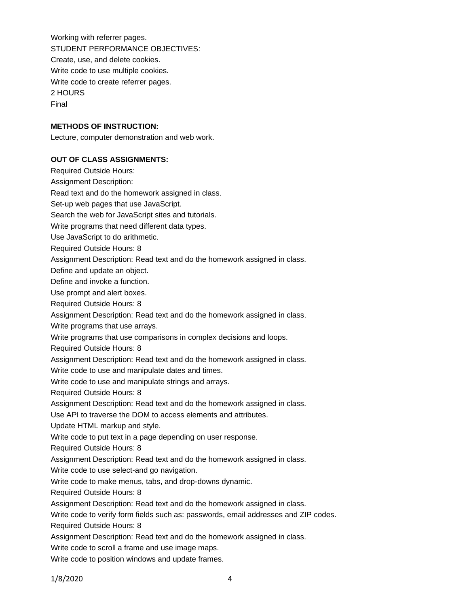Working with referrer pages. STUDENT PERFORMANCE OBJECTIVES: Create, use, and delete cookies. Write code to use multiple cookies. Write code to create referrer pages. 2 HOURS Final

### **METHODS OF INSTRUCTION:**

Lecture, computer demonstration and web work.

#### **OUT OF CLASS ASSIGNMENTS:**

Required Outside Hours: Assignment Description: Read text and do the homework assigned in class. Set-up web pages that use JavaScript. Search the web for JavaScript sites and tutorials. Write programs that need different data types. Use JavaScript to do arithmetic. Required Outside Hours: 8 Assignment Description: Read text and do the homework assigned in class. Define and update an object. Define and invoke a function. Use prompt and alert boxes. Required Outside Hours: 8 Assignment Description: Read text and do the homework assigned in class. Write programs that use arrays. Write programs that use comparisons in complex decisions and loops. Required Outside Hours: 8 Assignment Description: Read text and do the homework assigned in class. Write code to use and manipulate dates and times. Write code to use and manipulate strings and arrays. Required Outside Hours: 8 Assignment Description: Read text and do the homework assigned in class. Use API to traverse the DOM to access elements and attributes. Update HTML markup and style. Write code to put text in a page depending on user response. Required Outside Hours: 8 Assignment Description: Read text and do the homework assigned in class. Write code to use select-and go navigation. Write code to make menus, tabs, and drop-downs dynamic. Required Outside Hours: 8 Assignment Description: Read text and do the homework assigned in class. Write code to verify form fields such as: passwords, email addresses and ZIP codes. Required Outside Hours: 8 Assignment Description: Read text and do the homework assigned in class. Write code to scroll a frame and use image maps. Write code to position windows and update frames.

1/8/2020 4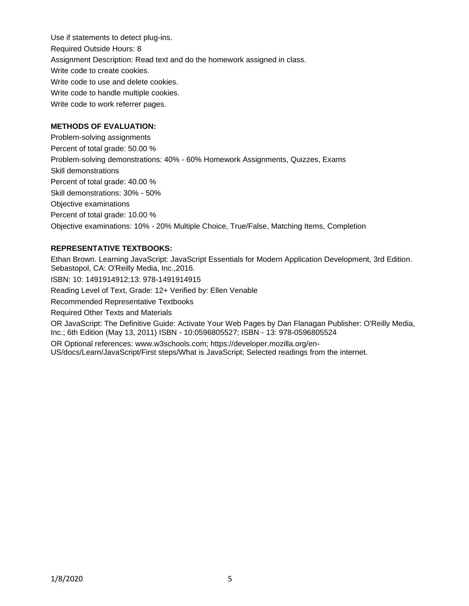Use if statements to detect plug-ins. Required Outside Hours: 8 Assignment Description: Read text and do the homework assigned in class. Write code to create cookies. Write code to use and delete cookies. Write code to handle multiple cookies. Write code to work referrer pages.

## **METHODS OF EVALUATION:**

Problem-solving assignments Percent of total grade: 50.00 % Problem-solving demonstrations: 40% - 60% Homework Assignments, Quizzes, Exams Skill demonstrations Percent of total grade: 40.00 % Skill demonstrations: 30% - 50% Objective examinations Percent of total grade: 10.00 % Objective examinations: 10% - 20% Multiple Choice, True/False, Matching Items, Completion

# **REPRESENTATIVE TEXTBOOKS:**

Ethan Brown. Learning JavaScript: JavaScript Essentials for Modern Application Development, 3rd Edition. Sebastopol, CA: O'Reilly Media, Inc.,2016. ISBN: 10: 1491914912;13: 978-1491914915 Reading Level of Text, Grade: 12+ Verified by: Ellen Venable Recommended Representative Textbooks Required Other Texts and Materials OR JavaScript: The Definitive Guide: Activate Your Web Pages by Dan Flanagan Publisher: O'Reilly Media, Inc.; 6th Edition (May 13, 2011) ISBN - 10:0596805527; ISBN - 13: 978-0596805524 OR Optional references: www.w3schools.com; https://developer.mozilla.org/en-US/docs/Learn/JavaScript/First steps/What is JavaScript; Selected readings from the internet.